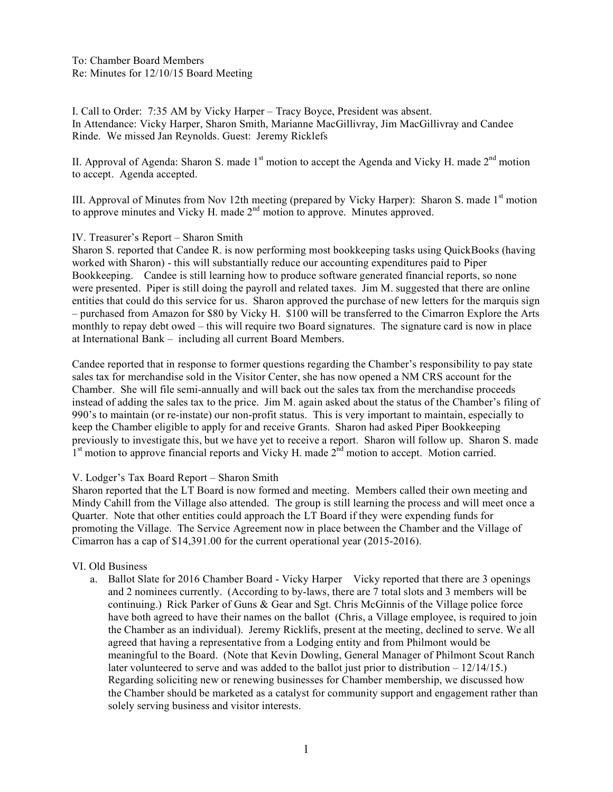To: Chamber Board Members Re: Minutes for 12/10/15 Board Meeting

I. Call to Order: 7:35 AM by Vicky Harper – Tracy Boyce, President was absent. In Attendance: Vicky Harper, Sharon Smith, Marianne MacGillivray, Jim MacGillivray and Candee Rinde. We missed Jan Reynolds. Guest: Jeremy Ricklefs

II. Approval of Agenda: Sharon S. made  $1<sup>st</sup>$  motion to accept the Agenda and Vicky H. made  $2<sup>nd</sup>$  motion to accept. Agenda accepted.

III. Approval of Minutes from Nov 12th meeting (prepared by Vicky Harper): Sharon S. made  $1<sup>st</sup>$  motion to approve minutes and Vicky H. made 2<sup>nd</sup> motion to approve. Minutes approved.

#### IV. Treasurer's Report – Sharon Smith

Sharon S. reported that Candee R. is now performing most bookkeeping tasks using QuickBooks (having worked with Sharon) - this will substantially reduce our accounting expenditures paid to Piper Bookkeeping. Candee is still learning how to produce software generated financial reports, so none were presented. Piper is still doing the payroll and related taxes. Jim M. suggested that there are online entities that could do this service for us. Sharon approved the purchase of new letters for the marquis sign – purchased from Amazon for \$80 by Vicky H. \$100 will be transferred to the Cimarron Explore the Arts monthly to repay debt owed – this will require two Board signatures. The signature card is now in place at International Bank – including all current Board Members.

Candee reported that in response to former questions regarding the Chamber's responsibility to pay state sales tax for merchandise sold in the Visitor Center, she has now opened a NM CRS account for the Chamber. She will file semi-annually and will back out the sales tax from the merchandise proceeds instead of adding the sales tax to the price. Jim M. again asked about the status of the Chamber's filing of 990's to maintain (or re-instate) our non-profit status. This is very important to maintain, especially to keep the Chamber eligible to apply for and receive Grants. Sharon had asked Piper Bookkeeping previously to investigate this, but we have yet to receive a report. Sharon will follow up. Sharon S. made 1<sup>st</sup> motion to approve financial reports and Vicky H. made 2<sup>nd</sup> motion to accept. Motion carried.

#### V. Lodger's Tax Board Report – Sharon Smith

Sharon reported that the LT Board is now formed and meeting. Members called their own meeting and Mindy Cahill from the Village also attended. The group is still learning the process and will meet once a Quarter. Note that other entities could approach the LT Board if they were expending funds for promoting the Village. The Service Agreement now in place between the Chamber and the Village of Cimarron has a cap of \$14,391.00 for the current operational year (2015-2016).

## VI. Old Business

a. Ballot Slate for 2016 Chamber Board - Vicky Harper Vicky reported that there are 3 openings and 2 nominees currently. (According to by-laws, there are 7 total slots and 3 members will be continuing.) Rick Parker of Guns & Gear and Sgt. Chris McGinnis of the Village police force have both agreed to have their names on the ballot (Chris, a Village employee, is required to join the Chamber as an individual). Jeremy Ricklifs, present at the meeting, declined to serve. We all agreed that having a representative from a Lodging entity and from Philmont would be meaningful to the Board. (Note that Kevin Dowling, General Manager of Philmont Scout Ranch later volunteered to serve and was added to the ballot just prior to distribution  $-12/14/15$ .) Regarding soliciting new or renewing businesses for Chamber membership, we discussed how the Chamber should be marketed as a catalyst for community support and engagement rather than solely serving business and visitor interests.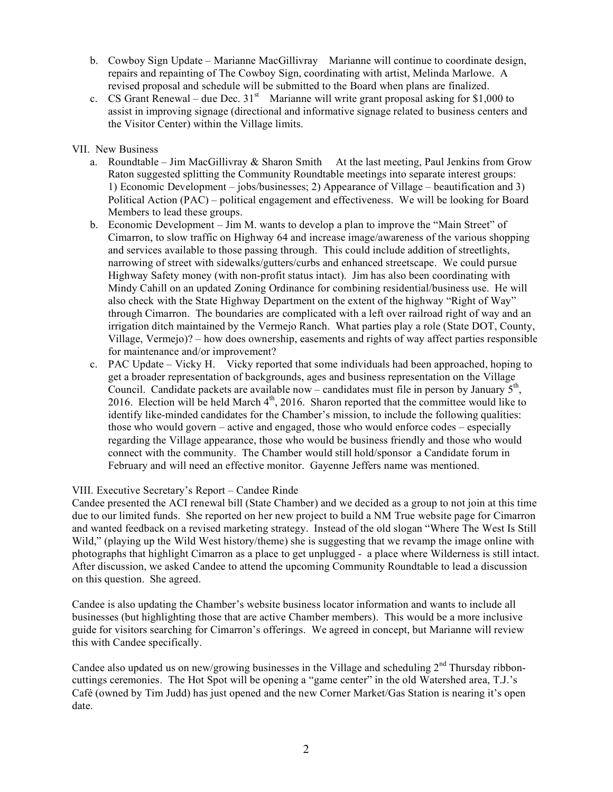- b. Cowboy Sign Update Marianne MacGillivray Marianne will continue to coordinate design, repairs and repainting of The Cowboy Sign, coordinating with artist, Melinda Marlowe. A revised proposal and schedule will be submitted to the Board when plans are finalized.
- c. CS Grant Renewal due Dec.  $31<sup>st</sup>$  Marianne will write grant proposal asking for \$1,000 to assist in improving signage (directional and informative signage related to business centers and the Visitor Center) within the Village limits.

# VII. New Business

- a. Roundtable Jim MacGillivray  $&$  Sharon Smith At the last meeting, Paul Jenkins from Grow Raton suggested splitting the Community Roundtable meetings into separate interest groups: 1) Economic Development – jobs/businesses; 2) Appearance of Village – beautification and 3) Political Action (PAC) – political engagement and effectiveness. We will be looking for Board Members to lead these groups.
- b. Economic Development Jim M. wants to develop a plan to improve the "Main Street" of Cimarron, to slow traffic on Highway 64 and increase image/awareness of the various shopping and services available to those passing through. This could include addition of streetlights, narrowing of street with sidewalks/gutters/curbs and enhanced streetscape. We could pursue Highway Safety money (with non-profit status intact). Jim has also been coordinating with Mindy Cahill on an updated Zoning Ordinance for combining residential/business use. He will also check with the State Highway Department on the extent of the highway "Right of Way" through Cimarron. The boundaries are complicated with a left over railroad right of way and an irrigation ditch maintained by the Vermejo Ranch. What parties play a role (State DOT, County, Village, Vermejo)? – how does ownership, easements and rights of way affect parties responsible for maintenance and/or improvement?
- c. PAC Update Vicky H. Vicky reported that some individuals had been approached, hoping to get a broader representation of backgrounds, ages and business representation on the Village Council. Candidate packets are available now – candidates must file in person by January  $5<sup>th</sup>$ , 2016. Election will be held March  $4<sup>th</sup>$ , 2016. Sharon reported that the committee would like to identify like-minded candidates for the Chamber's mission, to include the following qualities: those who would govern – active and engaged, those who would enforce codes – especially regarding the Village appearance, those who would be business friendly and those who would connect with the community. The Chamber would still hold/sponsor a Candidate forum in February and will need an effective monitor. Gayenne Jeffers name was mentioned.

## VIII. Executive Secretary's Report – Candee Rinde

Candee presented the ACI renewal bill (State Chamber) and we decided as a group to not join at this time due to our limited funds. She reported on her new project to build a NM True website page for Cimarron and wanted feedback on a revised marketing strategy. Instead of the old slogan "Where The West Is Still Wild," (playing up the Wild West history/theme) she is suggesting that we revamp the image online with photographs that highlight Cimarron as a place to get unplugged - a place where Wilderness is still intact. After discussion, we asked Candee to attend the upcoming Community Roundtable to lead a discussion on this question. She agreed.

Candee is also updating the Chamber's website business locator information and wants to include all businesses (but highlighting those that are active Chamber members). This would be a more inclusive guide for visitors searching for Cimarron's offerings. We agreed in concept, but Marianne will review this with Candee specifically.

Candee also updated us on new/growing businesses in the Village and scheduling  $2<sup>nd</sup>$  Thursday ribboncuttings ceremonies. The Hot Spot will be opening a "game center" in the old Watershed area, T.J.'s Café (owned by Tim Judd) has just opened and the new Corner Market/Gas Station is nearing it's open date.